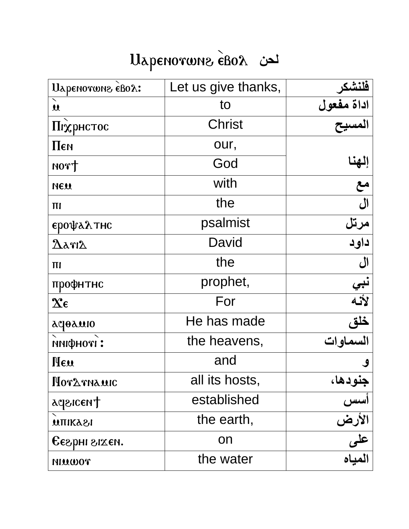## Llapenorwne eBox

| Uapenorwne eBox:                        | Let us give thanks, | فلنشكر                 |
|-----------------------------------------|---------------------|------------------------|
| $\mathbf{u}$                            | to                  | اداة مفعول<br>المسيح   |
| Піхрнстос                               | <b>Christ</b>       |                        |
| Пєм                                     | our,                |                        |
| NOT                                     | God                 |                        |
| NEU                                     | with                | إلهنا<br>مع<br>آل      |
| $\Pi$                                   | the                 |                        |
| ерофалтнс                               | psalmist            | مرتل<br>داود           |
| $\Delta$ arı $\Delta$                   | David               |                        |
| $\Pi$                                   | the                 | ال                     |
| профнтнс                                | prophet,            |                        |
| $\mathbf{\hat{x}}\boldsymbol{\epsilon}$ | For                 | نبي<br>لأنه            |
| deduio                                  | He has made         | خلق<br>السماوات        |
| пифнот:                                 | the heavens,        |                        |
| Heu                                     | and                 |                        |
| Hordrnauic                              | all its hosts,      | جنودها،                |
| ageicent                                | established         | أسس                    |
| <b>UTIIKASI</b>                         | the earth,          | الأرض<br>على<br>المياه |
| Сегрні гіхем.                           | on                  |                        |
| TOWAIH                                  | the water           |                        |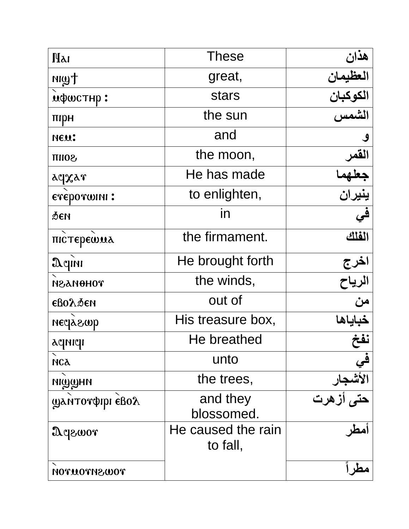| <b>Hai</b>           | <b>These</b>                   | هذان                               |
|----------------------|--------------------------------|------------------------------------|
| Hwn                  | great,                         | العظيمان                           |
| ифшстнр:             | <b>stars</b>                   | الكوكبان                           |
| пірн                 | the sun                        | الشمس                              |
| NEU:                 | and                            | $\mathcal{S}$                      |
| <b>SOIIT</b>         | the moon,                      | القمر                              |
| aqxar                | He has made                    | جعلهم                              |
| eveporwini:          | to enlighten,                  | ينيران                             |
| Феи                  | in                             | في                                 |
| пістерешил           | the firmament.                 | الفلك                              |
| Aqını                | He brought forth               |                                    |
| тоноилуи             | the winds,                     | ا <u>خرج</u><br>الرياح<br>من       |
| <b>сво</b> лбен      | out of                         |                                    |
| песјагор             | His treasure box,              | خباياها                            |
| aqnıqı               | He breathed                    | نفخ                                |
| <b>МСА</b>           | unto                           |                                    |
| <b>NIWWHN</b>        | the trees,                     |                                    |
| Фантотфірі євод      | and they<br>blossomed.         | في<br>الأشجار<br>حتى أزهرت<br>أمطر |
| <b><i>Aqzwor</i></b> | He caused the rain<br>to fall, |                                    |
| <b>TOWSHTOUTON</b>   |                                |                                    |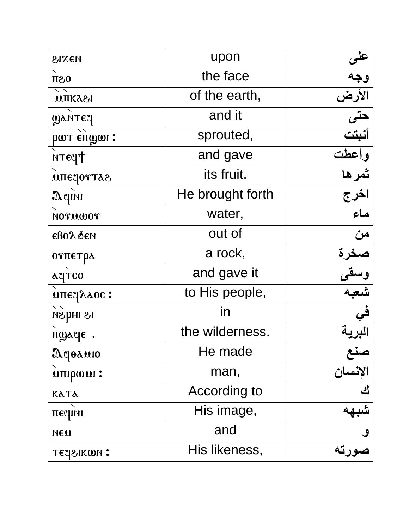| MEXIS               | upon             | <u>علو</u>                 |
|---------------------|------------------|----------------------------|
| $0S\Pi$             | the face         | وجه                        |
| <b>UTIKA21</b>      | of the earth,    | الأرض                      |
| <b>WANTEY</b>       | and it           | حتى<br>أنبتت               |
| рат єптан:          | sprouted,        |                            |
| <b>NTECHT</b>       | and gave         | وأعطت<br>ثمرها             |
| <b>MITECOTTAS</b>   | its fruit.       |                            |
| $\mathfrak{A}$ qını | He brought forth | اخرج                       |
| NOTUWOT             | water,           | $\overline{\mathbf{r}}$    |
| <b>сво</b> лбен     | out of           | من                         |
| отпетра             | a rock,          | صغرة                       |
| <b>ACTCO</b>        | and gave it      |                            |
| <b>ΜΠΕΥλλος:</b>    | to His people,   | وسق <mark>و</mark><br>شعبه |
| 18 індзи            | in               | في                         |
| пуде.               | the wilderness.  |                            |
| Дерамю              | He made          |                            |
| иппром:             | man,             | صنع<br>الإنسان             |
| <b>KATA</b>         | According to     | <u>ئ</u>                   |
| песни               | His image,       |                            |
| NEW                 | and              |                            |
| тесрыком:           | His likeness,    | و<br>صورته                 |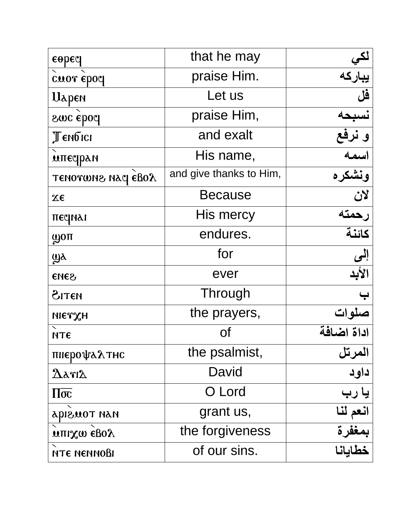| $\epsilon$ opeq          | that he may             | لکي                            |
|--------------------------|-------------------------|--------------------------------|
| cuor epoq                | praise Him.             | بباركه                         |
| <b>U</b> apen            | Let us                  | فَل                            |
| <b>Smc</b> ebod          | praise Him,             | نسبحه                          |
| Тембісі                  | and exalt               | و نرفع                         |
| мпеерам                  | His name,               | اسمه                           |
| TENOTWNS NAC EBOX        | and give thanks to Him, | ونشكره                         |
| $X\epsilon$              | <b>Because</b>          | $\frac{1}{\sum_{i=1}^{n} a_i}$ |
| песиаі                   | His mercy               | رحمته                          |
| <b>WOTT</b>              | endures.                | كائنة                          |
| $\mathbf{W}$             | for                     | إلمى                           |
| SHOS                     | ever                    | الأبد                          |
| <b>ATEN</b>              | Through                 |                                |
| метхн                    | the prayers,            | سلوات                          |
| <b>МТЄ</b>               | Οf                      | اداة اضافة                     |
| пиєрофалтис              | the psalmist,           | المرتل                         |
| $\Delta$ arı $\Delta$    | David                   | داود                           |
| $\Pi\overline{\sigma c}$ | O Lord                  | یا رب                          |
| <b>HAH TOUSICA</b>       | grant us,               | انعم لنا                       |
| $M$ llix $m$ egoy        | the forgiveness         | بمغفرة                         |
| ите меммови              | of our sins.            | خطايانا                        |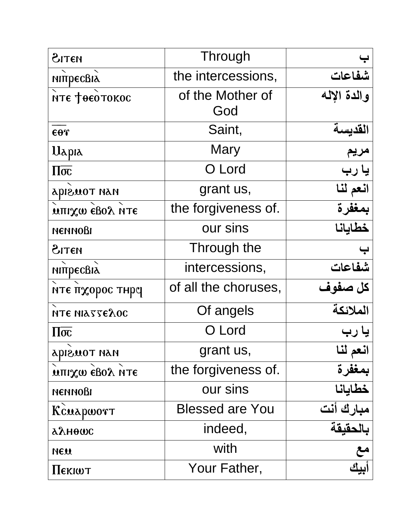| MITIS                     | Through                |             |
|---------------------------|------------------------|-------------|
| мітресвіл                 | the intercessions,     | شفاعات      |
| ите феотокос              | of the Mother of       | والدة الإله |
|                           | God                    |             |
| $\epsilon$ or             | Saint,                 | القديسة     |
| Uapia                     | Mary                   | مريم        |
| $\Pi\overline{\sigma c}$  | O Lord                 | یا رب       |
| HAH TOUSIQA               | grant us,              | انعم لنا    |
| <b>UTIL XW EBOY ULE</b>   | the forgiveness of.    | بمغفرة      |
| <b>ПЕННОВІ</b>            | our sins               | خطايانا     |
| AITEN                     | Through the            |             |
| мітресвіх                 | intercessions,         | شفاعات      |
| ите пхорос тнрч           | of all the choruses,   | كل صفوف     |
| ИТЕ НІАТТЕЛОС             | Of angels              | الملائكة    |
| $\Pi\overline{\sigma c}$  | O Lord                 | یا رب       |
| HAH TOUSIQA               | grant us,              | انعم لنا    |
| <b>MILIX OD GROY HALE</b> | the forgiveness of.    | بمغفرة      |
| <b>ПЕММОВІ</b>            | our sins               | خطايانا     |
| Kcuapwort                 | <b>Blessed are You</b> | مبارك أنت   |
| αλнөωс                    | indeed,                | بالحقيقة    |
| NEW                       | with                   | مع          |
| <b>I</b> JEKIWT           | Your Father,           |             |